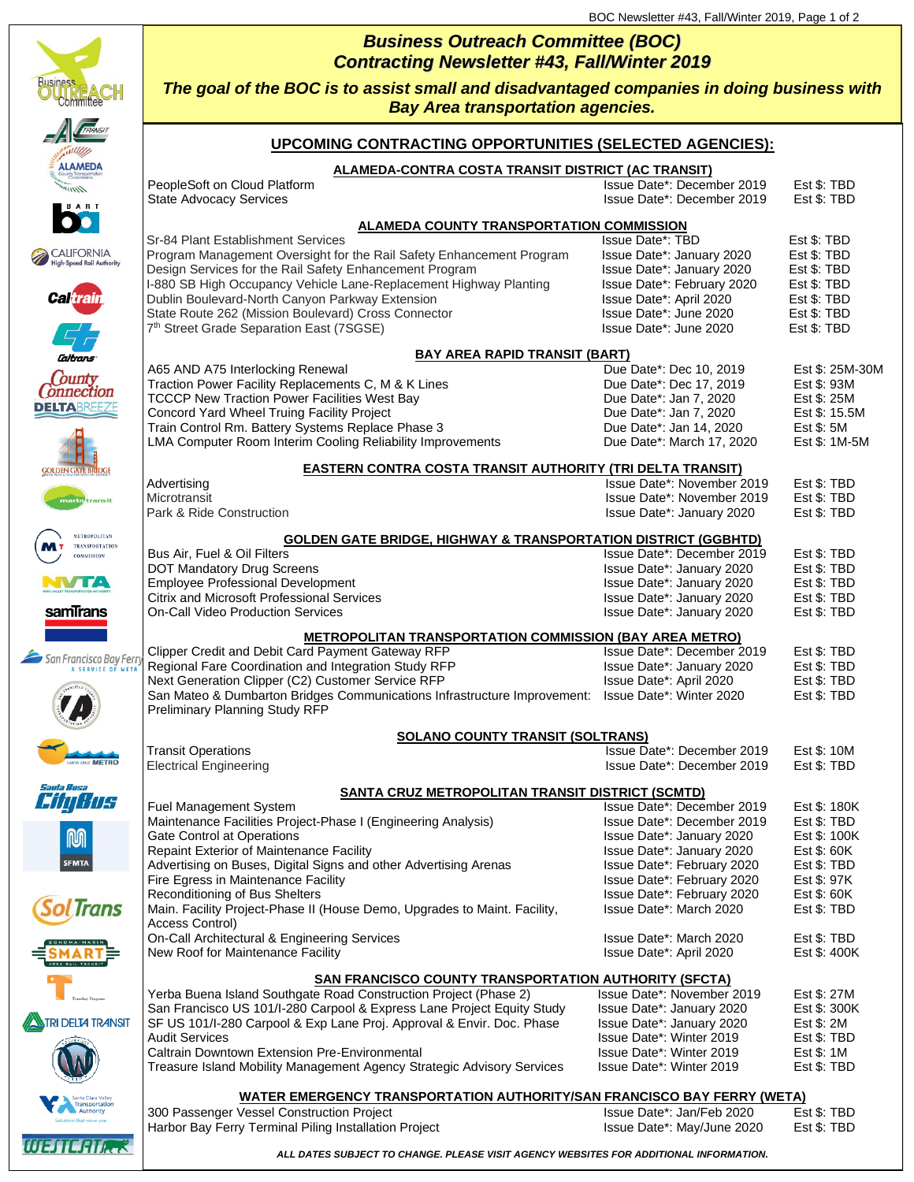## *Business Outreach Committee (BOC) Contracting Newsletter #43, Fall/Winter 2019*



WEIGHA

*The goal of the BOC is to assist small and disadvantaged companies in doing business with Bay Area transportation agencies.*

## **UPCOMING CONTRACTING OPPORTUNITIES (SELECTED AGENCIES):**

| <b>ALAMEDA</b>                                                         | ALAMEDA-CONTRA COSTA TRANSIT DISTRICT (AC TRANSIT)                                                |                            |                 |  |
|------------------------------------------------------------------------|---------------------------------------------------------------------------------------------------|----------------------------|-----------------|--|
| $\mu$ <sub>n</sub>                                                     | PeopleSoft on Cloud Platform                                                                      | Issue Date*: December 2019 | Est \$: TBD     |  |
| <b>BART</b>                                                            | <b>State Advocacy Services</b>                                                                    | Issue Date*: December 2019 | Est \$: TBD     |  |
| $\bullet$                                                              |                                                                                                   |                            |                 |  |
|                                                                        | <b>ALAMEDA COUNTY TRANSPORTATION COMMISSION</b>                                                   |                            |                 |  |
|                                                                        | Sr-84 Plant Establishment Services                                                                | Issue Date*: TBD           | Est \$: TBD     |  |
| CALIFORNIA<br>High-Speed Rail Authority                                | Program Management Oversight for the Rail Safety Enhancement Program                              | Issue Date*: January 2020  | Est \$: TBD     |  |
|                                                                        | Design Services for the Rail Safety Enhancement Program                                           | Issue Date*: January 2020  | Est \$: TBD     |  |
|                                                                        | I-880 SB High Occupancy Vehicle Lane-Replacement Highway Planting                                 | Issue Date*: February 2020 | Est \$: TBD     |  |
| <b>Caltrain</b>                                                        | Dublin Boulevard-North Canyon Parkway Extension                                                   | Issue Date*: April 2020    | Est \$: TBD     |  |
|                                                                        | State Route 262 (Mission Boulevard) Cross Connector                                               | Issue Date*: June 2020     | Est \$: TBD     |  |
|                                                                        | 7th Street Grade Separation East (7SGSE)                                                          | Issue Date*: June 2020     | Est \$: TBD     |  |
|                                                                        |                                                                                                   |                            |                 |  |
| Caltrans                                                               | <b>BAY AREA RAPID TRANSIT (BART)</b>                                                              |                            |                 |  |
| County                                                                 | A65 AND A75 Interlocking Renewal                                                                  | Due Date*: Dec 10, 2019    | Est \$: 25M-30M |  |
| onnection                                                              | Traction Power Facility Replacements C, M & K Lines                                               | Due Date*: Dec 17, 2019    | Est \$: 93M     |  |
| DELTABREEZE                                                            | <b>TCCCP New Traction Power Facilities West Bay</b>                                               | Due Date*: Jan 7, 2020     | Est \$: 25M     |  |
|                                                                        | Concord Yard Wheel Truing Facility Project                                                        | Due Date*: Jan 7, 2020     | Est \$: 15.5M   |  |
|                                                                        | Train Control Rm. Battery Systems Replace Phase 3                                                 | Due Date*: Jan 14, 2020    | Est \$: 5M      |  |
|                                                                        | LMA Computer Room Interim Cooling Reliability Improvements                                        | Due Date*: March 17, 2020  | Est \$: 1M-5M   |  |
| <b>EASTERN CONTRA COSTA TRANSIT AUTHORITY (TRI DELTA TRANSIT)</b>      |                                                                                                   |                            |                 |  |
| <b>GOLDEN GATE BRIDGE</b><br>Advertising<br>Issue Date*: November 2019 |                                                                                                   |                            | Est \$: TBD     |  |
|                                                                        | Microtransit                                                                                      | Issue Date*: November 2019 | Est \$: TBD     |  |
| narin <i>t</i> ransit                                                  | Park & Ride Construction                                                                          | Issue Date*: January 2020  | Est \$: TBD     |  |
|                                                                        |                                                                                                   |                            |                 |  |
| METROPOLITAN                                                           | <b>GOLDEN GATE BRIDGE, HIGHWAY &amp; TRANSPORTATION DISTRICT (GGBHTD)</b>                         |                            |                 |  |
| <b>TRANSPORTATION</b><br>COMMISSION                                    | Bus Air, Fuel & Oil Filters                                                                       | Issue Date*: December 2019 | Est \$: TBD     |  |
|                                                                        | <b>DOT Mandatory Drug Screens</b>                                                                 | Issue Date*: January 2020  | Est \$: TBD     |  |
| NVTA                                                                   | <b>Employee Professional Development</b>                                                          | Issue Date*: January 2020  | Est \$: TBD     |  |
|                                                                        | <b>Citrix and Microsoft Professional Services</b>                                                 | Issue Date*: January 2020  | Est \$: TBD     |  |
| samTrans                                                               | <b>On-Call Video Production Services</b>                                                          | Issue Date*: January 2020  | Est \$: TBD     |  |
|                                                                        |                                                                                                   |                            |                 |  |
|                                                                        | METROPOLITAN TRANSPORTATION COMMISSION (BAY AREA METRO)                                           |                            |                 |  |
| San Francisco Bay Ferr                                                 | Clipper Credit and Debit Card Payment Gateway RFP                                                 | Issue Date*: December 2019 | Est \$: TBD     |  |
| A SERVICE OF WETA                                                      | Regional Fare Coordination and Integration Study RFP                                              | Issue Date*: January 2020  | Est \$: TBD     |  |
|                                                                        | Next Generation Clipper (C2) Customer Service RFP                                                 | Issue Date*: April 2020    | Est \$: TBD     |  |
|                                                                        | San Mateo & Dumbarton Bridges Communications Infrastructure Improvement: Issue Date*: Winter 2020 |                            | Est \$: TBD     |  |
|                                                                        | Preliminary Planning Study RFP                                                                    |                            |                 |  |
|                                                                        | <b>SOLANO COUNTY TRANSIT (SOLTRANS)</b>                                                           |                            |                 |  |
|                                                                        | <b>Transit Operations</b>                                                                         | Issue Date*: December 2019 | Est \$: 10M     |  |
| <b>TA CRUZ METRO</b>                                                   | <b>Electrical Engineering</b>                                                                     | Issue Date*: December 2019 | Est \$: TBD     |  |
|                                                                        |                                                                                                   |                            |                 |  |
| Santa Hosa                                                             | <b>SANTA CRUZ METROPOLITAN TRANSIT DISTRICT (SCMTD)</b>                                           |                            |                 |  |
| <i>Efin Hos</i>                                                        | Fuel Management System                                                                            | Issue Date*: December 2019 | Est \$: 180K    |  |
|                                                                        | Maintenance Facilities Project-Phase I (Engineering Analysis)                                     | Issue Date*: December 2019 | Est \$: TBD     |  |
| $\mathbb{I}$ $\mathbb{I}$                                              | <b>Gate Control at Operations</b>                                                                 | Issue Date*: January 2020  | Est \$: 100K    |  |
|                                                                        | <b>Repaint Exterior of Maintenance Facility</b>                                                   | Issue Date*: January 2020  | Est \$: 60K     |  |
| <b>SFMTA</b>                                                           | Advertising on Buses, Digital Signs and other Advertising Arenas                                  | Issue Date*: February 2020 | Est \$: TBD     |  |
|                                                                        | Fire Egress in Maintenance Facility                                                               | Issue Date*: February 2020 | Est \$: 97K     |  |
|                                                                        | Reconditioning of Bus Shelters                                                                    | Issue Date*: February 2020 | Est \$: 60K     |  |
| <b>Irans</b>                                                           | Main. Facility Project-Phase II (House Demo, Upgrades to Maint. Facility,                         | Issue Date*: March 2020    | Est \$: TBD     |  |
|                                                                        | Access Control)                                                                                   |                            |                 |  |
|                                                                        | On-Call Architectural & Engineering Services                                                      | Issue Date*: March 2020    | Est \$: TBD     |  |
|                                                                        | New Roof for Maintenance Facility                                                                 | Issue Date*: April 2020    | Est \$: 400K    |  |
|                                                                        |                                                                                                   |                            |                 |  |
|                                                                        | <b>SAN FRANCISCO COUNTY TRANSPORTATION AUTHORITY (SFCTA)</b>                                      |                            |                 |  |
|                                                                        | Yerba Buena Island Southgate Road Construction Project (Phase 2)                                  | Issue Date*: November 2019 | Est \$: 27M     |  |
|                                                                        | San Francisco US 101/I-280 Carpool & Express Lane Project Equity Study                            | Issue Date*: January 2020  | Est \$: 300K    |  |
| <b>TRI DELTA TRANSIT</b>                                               | SF US 101/I-280 Carpool & Exp Lane Proj. Approval & Envir. Doc. Phase                             | Issue Date*: January 2020  | Est \$: 2M      |  |
|                                                                        | <b>Audit Services</b>                                                                             | Issue Date*: Winter 2019   | Est \$: TBD     |  |
|                                                                        | Caltrain Downtown Extension Pre-Environmental                                                     | Issue Date*: Winter 2019   | Est \$: 1M      |  |
|                                                                        | Treasure Island Mobility Management Agency Strategic Advisory Services                            | Issue Date*: Winter 2019   | Est \$: TBD     |  |
|                                                                        |                                                                                                   |                            |                 |  |
|                                                                        | <b>WATER EMERGENCY TRANSPORTATION AUTHORITY/SAN FRANCISCO BAY FERRY (WETA)</b>                    |                            |                 |  |

Harbor Bay Ferry Terminal Piling Installation Project **Interpretent Installation Project** Issue Date\*: May/June 2020 Est \$: TBD

300 Passenger Vessel Construction Project and The State Issue Date\*: Jan/Feb 2020 Est \$: TBD

*ALL DATES SUBJECT TO CHANGE. PLEASE VISIT AGENCY WEBSITES FOR ADDITIONAL INFORMATION.*